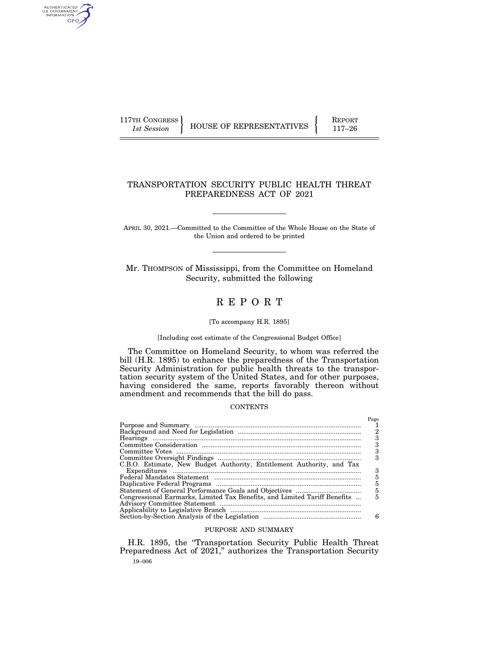AUTHENTICATED<br>U.S. GOVERNMENT<br>INFORMATION GPO

117TH CONGRESS **REPORT 117-126** HOUSE OF REPRESENTATIVES **117–26** 

# TRANSPORTATION SECURITY PUBLIC HEALTH THREAT PREPAREDNESS ACT OF 2021

APRIL 30, 2021.—Committed to the Committee of the Whole House on the State of the Union and ordered to be printed

Mr. THOMPSON of Mississippi, from the Committee on Homeland Security, submitted the following

# R E P O R T

### [To accompany H.R. 1895]

### [Including cost estimate of the Congressional Budget Office]

The Committee on Homeland Security, to whom was referred the bill (H.R. 1895) to enhance the preparedness of the Transportation Security Administration for public health threats to the transportation security system of the United States, and for other purposes, having considered the same, reports favorably thereon without amendment and recommends that the bill do pass.

### **CONTENTS**

|                                                                           | Page |
|---------------------------------------------------------------------------|------|
|                                                                           |      |
|                                                                           | 2    |
|                                                                           |      |
|                                                                           | з    |
|                                                                           | 3    |
|                                                                           |      |
|                                                                           |      |
| C.B.O. Estimate, New Budget Authority, Entitlement Authority, and Tax     |      |
|                                                                           | з    |
|                                                                           | 5    |
|                                                                           | 5    |
|                                                                           | 5    |
| Congressional Earmarks, Limited Tax Benefits, and Limited Tariff Benefits | 5    |
|                                                                           |      |
|                                                                           |      |
|                                                                           | 6    |

## PURPOSE AND SUMMARY

19–006 H.R. 1895, the ''Transportation Security Public Health Threat Preparedness Act of 2021,'' authorizes the Transportation Security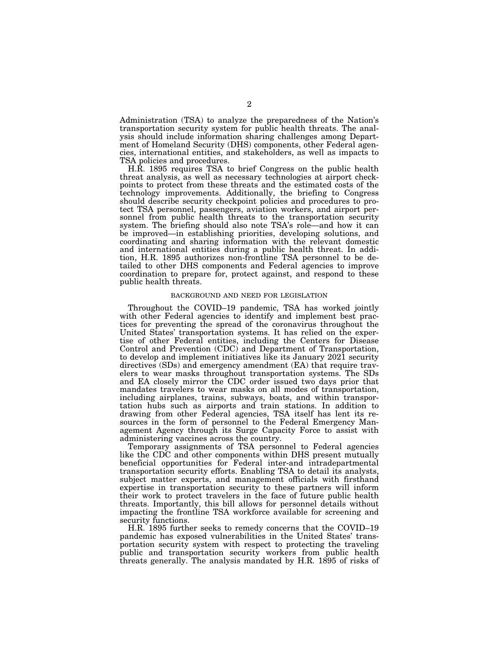Administration (TSA) to analyze the preparedness of the Nation's transportation security system for public health threats. The analysis should include information sharing challenges among Department of Homeland Security (DHS) components, other Federal agencies, international entities, and stakeholders, as well as impacts to TSA policies and procedures.

H.R. 1895 requires TSA to brief Congress on the public health threat analysis, as well as necessary technologies at airport checkpoints to protect from these threats and the estimated costs of the technology improvements. Additionally, the briefing to Congress should describe security checkpoint policies and procedures to protect TSA personnel, passengers, aviation workers, and airport personnel from public health threats to the transportation security system. The briefing should also note TSA's role—and how it can be improved—in establishing priorities, developing solutions, and coordinating and sharing information with the relevant domestic and international entities during a public health threat. In addition, H.R. 1895 authorizes non-frontline TSA personnel to be detailed to other DHS components and Federal agencies to improve coordination to prepare for, protect against, and respond to these public health threats.

### BACKGROUND AND NEED FOR LEGISLATION

Throughout the COVID–19 pandemic, TSA has worked jointly with other Federal agencies to identify and implement best practices for preventing the spread of the coronavirus throughout the United States' transportation systems. It has relied on the expertise of other Federal entities, including the Centers for Disease Control and Prevention (CDC) and Department of Transportation, to develop and implement initiatives like its January 2021 security directives (SDs) and emergency amendment (EA) that require travelers to wear masks throughout transportation systems. The SDs and EA closely mirror the CDC order issued two days prior that mandates travelers to wear masks on all modes of transportation, including airplanes, trains, subways, boats, and within transportation hubs such as airports and train stations. In addition to drawing from other Federal agencies, TSA itself has lent its resources in the form of personnel to the Federal Emergency Management Agency through its Surge Capacity Force to assist with administering vaccines across the country.

Temporary assignments of TSA personnel to Federal agencies like the CDC and other components within DHS present mutually beneficial opportunities for Federal inter-and intradepartmental transportation security efforts. Enabling TSA to detail its analysts, subject matter experts, and management officials with firsthand expertise in transportation security to these partners will inform their work to protect travelers in the face of future public health threats. Importantly, this bill allows for personnel details without impacting the frontline TSA workforce available for screening and security functions.

H.R. 1895 further seeks to remedy concerns that the COVID–19 pandemic has exposed vulnerabilities in the United States' transportation security system with respect to protecting the traveling public and transportation security workers from public health threats generally. The analysis mandated by H.R. 1895 of risks of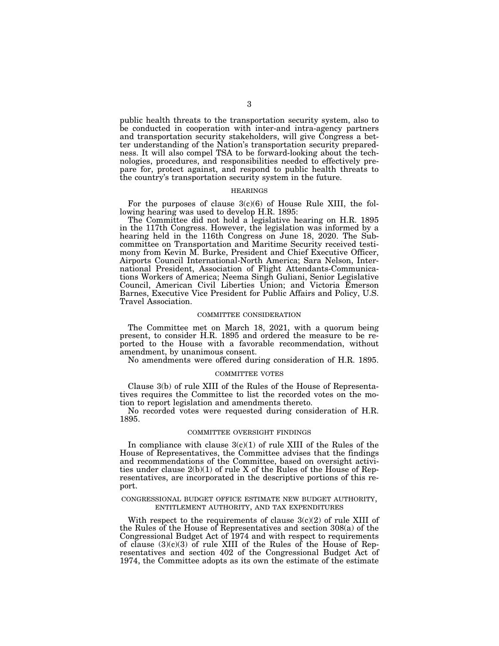public health threats to the transportation security system, also to be conducted in cooperation with inter-and intra-agency partners and transportation security stakeholders, will give Congress a better understanding of the Nation's transportation security preparedness. It will also compel TSA to be forward-looking about the technologies, procedures, and responsibilities needed to effectively prepare for, protect against, and respond to public health threats to the country's transportation security system in the future.

### HEARINGS

For the purposes of clause  $3(c)(6)$  of House Rule XIII, the following hearing was used to develop H.R. 1895:

The Committee did not hold a legislative hearing on H.R. 1895 in the 117th Congress. However, the legislation was informed by a hearing held in the 116th Congress on June 18, 2020. The Subcommittee on Transportation and Maritime Security received testimony from Kevin M. Burke, President and Chief Executive Officer, Airports Council International-North America; Sara Nelson, International President, Association of Flight Attendants-Communications Workers of America; Neema Singh Guliani, Senior Legislative Council, American Civil Liberties Union; and Victoria Emerson Barnes, Executive Vice President for Public Affairs and Policy, U.S. Travel Association.

### COMMITTEE CONSIDERATION

The Committee met on March 18, 2021, with a quorum being present, to consider H.R. 1895 and ordered the measure to be reported to the House with a favorable recommendation, without amendment, by unanimous consent.

No amendments were offered during consideration of H.R. 1895.

### COMMITTEE VOTES

Clause 3(b) of rule XIII of the Rules of the House of Representatives requires the Committee to list the recorded votes on the motion to report legislation and amendments thereto.

No recorded votes were requested during consideration of H.R. 1895.

#### COMMITTEE OVERSIGHT FINDINGS

In compliance with clause  $3(c)(1)$  of rule XIII of the Rules of the House of Representatives, the Committee advises that the findings and recommendations of the Committee, based on oversight activities under clause 2(b)(1) of rule X of the Rules of the House of Representatives, are incorporated in the descriptive portions of this report.

### CONGRESSIONAL BUDGET OFFICE ESTIMATE NEW BUDGET AUTHORITY, ENTITLEMENT AUTHORITY, AND TAX EXPENDITURES

With respect to the requirements of clause  $3(c)(2)$  of rule XIII of the Rules of the House of Representatives and section 308(a) of the Congressional Budget Act of 1974 and with respect to requirements of clause  $(3)(c)(3)$  of rule XIII of the Rules of the House of Representatives and section 402 of the Congressional Budget Act of 1974, the Committee adopts as its own the estimate of the estimate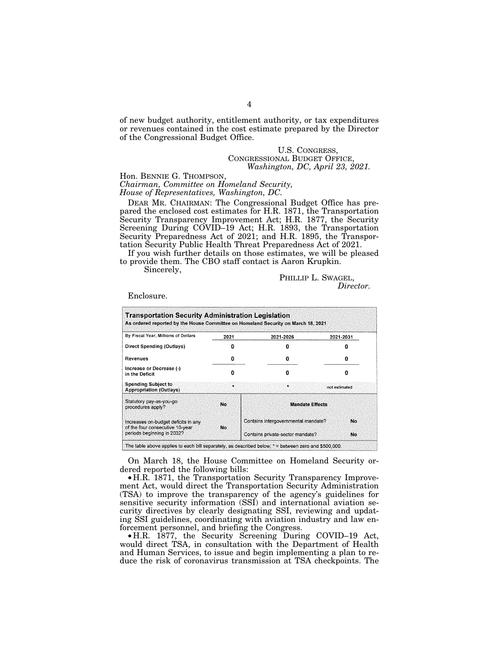of new budget authority, entitlement authority, or tax expenditures or revenues contained in the cost estimate prepared by the Director of the Congressional Budget Office.

# U.S. CONGRESS, CONGRESSIONAL BUDGET OFFICE, *Washington, DC, April 23, 2021.*

# Hon. BENNIE G. THOMPSON, *Chairman, Committee on Homeland Security, House of Representatives, Washington, DC.*

DEAR MR. CHAIRMAN: The Congressional Budget Office has prepared the enclosed cost estimates for H.R. 1871, the Transportation Security Transparency Improvement Act; H.R. 1877, the Security Screening During COVID–19 Act; H.R. 1893, the Transportation Security Preparedness Act of 2021; and H.R. 1895, the Transportation Security Public Health Threat Preparedness Act of 2021.

If you wish further details on those estimates, we will be pleased to provide them. The CBO staff contact is Aaron Krupkin.

Sincerely,

PHILLIP L. SWAGEL, *Director.* 

Enclosure.

| <b>Transportation Security Administration Legislation</b><br>As ordered reported by the House Committee on Homeland Security on March 18, 2021 |              |                                     |                |  |
|------------------------------------------------------------------------------------------------------------------------------------------------|--------------|-------------------------------------|----------------|--|
| By Fiscal Year, Millions of Dollars                                                                                                            | 2021         | 2021-2026                           | 2021-2031      |  |
| Direct Spending (Outlays)                                                                                                                      |              |                                     |                |  |
| Revenues                                                                                                                                       | Ω            | Ω                                   |                |  |
| Increase or Decrease (-)<br>in the Deficit                                                                                                     | n            | o                                   |                |  |
| <b>Spending Subject to</b><br><b>Appropriation (Outlays)</b>                                                                                   | $\mathbf{r}$ | ÷                                   | not estimated. |  |
| Statutory pay-as-you-go<br>procedures apply?                                                                                                   | No.          | <b>Mandate Effects</b>              |                |  |
| Increases on-budget deficits in any<br>of the four consecutive 10-year                                                                         | No.          | Contains intergovernmental mandate? | No.            |  |
| periods beginning in 2032?                                                                                                                     |              | Contains private-sector mandate?    | No.            |  |

The table above applies to each bill separately, as described below;  $*$  = between zero and \$500,000.

On March 18, the House Committee on Homeland Security ordered reported the following bills:

• H.R. 1871, the Transportation Security Transparency Improvement Act, would direct the Transportation Security Administration (TSA) to improve the transparency of the agency's guidelines for sensitive security information (SSI) and international aviation security directives by clearly designating SSI, reviewing and updating SSI guidelines, coordinating with aviation industry and law enforcement personnel, and briefing the Congress.

• H.R. 1877, the Security Screening During COVID–19 Act, would direct TSA, in consultation with the Department of Health and Human Services, to issue and begin implementing a plan to reduce the risk of coronavirus transmission at TSA checkpoints. The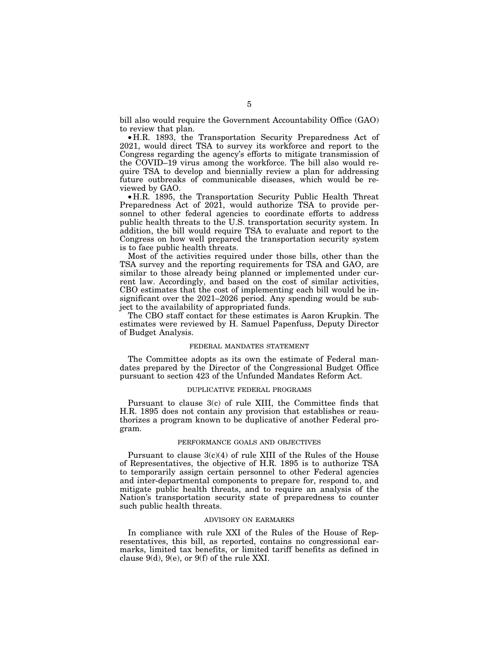bill also would require the Government Accountability Office (GAO) to review that plan.

• H.R. 1893, the Transportation Security Preparedness Act of 2021, would direct TSA to survey its workforce and report to the Congress regarding the agency's efforts to mitigate transmission of the COVID–19 virus among the workforce. The bill also would require TSA to develop and biennially review a plan for addressing future outbreaks of communicable diseases, which would be reviewed by GAO.

• H.R. 1895, the Transportation Security Public Health Threat Preparedness Act of 2021, would authorize TSA to provide personnel to other federal agencies to coordinate efforts to address public health threats to the U.S. transportation security system. In addition, the bill would require TSA to evaluate and report to the Congress on how well prepared the transportation security system is to face public health threats.

Most of the activities required under those bills, other than the TSA survey and the reporting requirements for TSA and GAO, are similar to those already being planned or implemented under current law. Accordingly, and based on the cost of similar activities, CBO estimates that the cost of implementing each bill would be insignificant over the 2021–2026 period. Any spending would be subject to the availability of appropriated funds.

The CBO staff contact for these estimates is Aaron Krupkin. The estimates were reviewed by H. Samuel Papenfuss, Deputy Director of Budget Analysis.

### FEDERAL MANDATES STATEMENT

The Committee adopts as its own the estimate of Federal mandates prepared by the Director of the Congressional Budget Office pursuant to section 423 of the Unfunded Mandates Reform Act.

### DUPLICATIVE FEDERAL PROGRAMS

Pursuant to clause 3(c) of rule XIII, the Committee finds that H.R. 1895 does not contain any provision that establishes or reauthorizes a program known to be duplicative of another Federal program.

# PERFORMANCE GOALS AND OBJECTIVES

Pursuant to clause  $3(c)(4)$  of rule XIII of the Rules of the House of Representatives, the objective of H.R. 1895 is to authorize TSA to temporarily assign certain personnel to other Federal agencies and inter-departmental components to prepare for, respond to, and mitigate public health threats, and to require an analysis of the Nation's transportation security state of preparedness to counter such public health threats.

### ADVISORY ON EARMARKS

In compliance with rule XXI of the Rules of the House of Representatives, this bill, as reported, contains no congressional earmarks, limited tax benefits, or limited tariff benefits as defined in clause 9(d), 9(e), or 9(f) of the rule XXI.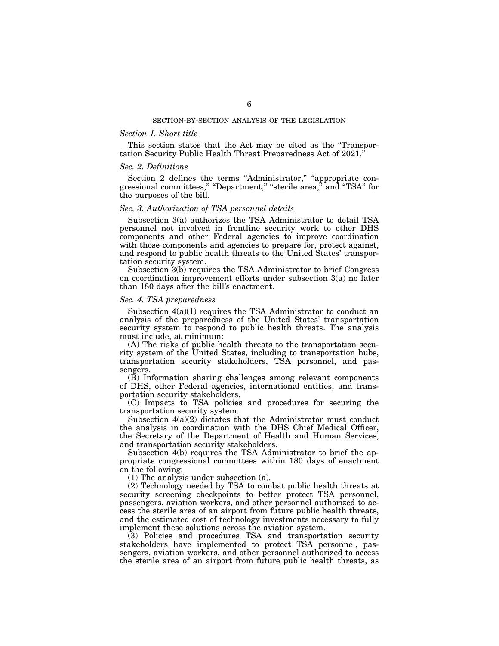### *Section 1. Short title*

This section states that the Act may be cited as the ''Transportation Security Public Health Threat Preparedness Act of 2021.''

### *Sec. 2. Definitions*

Section 2 defines the terms "Administrator," "appropriate congressional committees," "Department," "sterile area," and "TSA" for the purposes of the bill.

### *Sec. 3. Authorization of TSA personnel details*

Subsection 3(a) authorizes the TSA Administrator to detail TSA personnel not involved in frontline security work to other DHS components and other Federal agencies to improve coordination with those components and agencies to prepare for, protect against, and respond to public health threats to the United States' transportation security system.

Subsection 3(b) requires the TSA Administrator to brief Congress on coordination improvement efforts under subsection 3(a) no later than 180 days after the bill's enactment.

### *Sec. 4. TSA preparedness*

Subsection 4(a)(1) requires the TSA Administrator to conduct an analysis of the preparedness of the United States' transportation security system to respond to public health threats. The analysis must include, at minimum:

(A) The risks of public health threats to the transportation security system of the United States, including to transportation hubs, transportation security stakeholders, TSA personnel, and passengers.

(B) Information sharing challenges among relevant components of DHS, other Federal agencies, international entities, and transportation security stakeholders.

(C) Impacts to TSA policies and procedures for securing the transportation security system.

Subsection 4(a)(2) dictates that the Administrator must conduct the analysis in coordination with the DHS Chief Medical Officer, the Secretary of the Department of Health and Human Services, and transportation security stakeholders.

Subsection 4(b) requires the TSA Administrator to brief the appropriate congressional committees within 180 days of enactment on the following:

(1) The analysis under subsection (a).

(2) Technology needed by TSA to combat public health threats at security screening checkpoints to better protect TSA personnel, passengers, aviation workers, and other personnel authorized to access the sterile area of an airport from future public health threats, and the estimated cost of technology investments necessary to fully implement these solutions across the aviation system.

(3) Policies and procedures TSA and transportation security stakeholders have implemented to protect TSA personnel, passengers, aviation workers, and other personnel authorized to access the sterile area of an airport from future public health threats, as